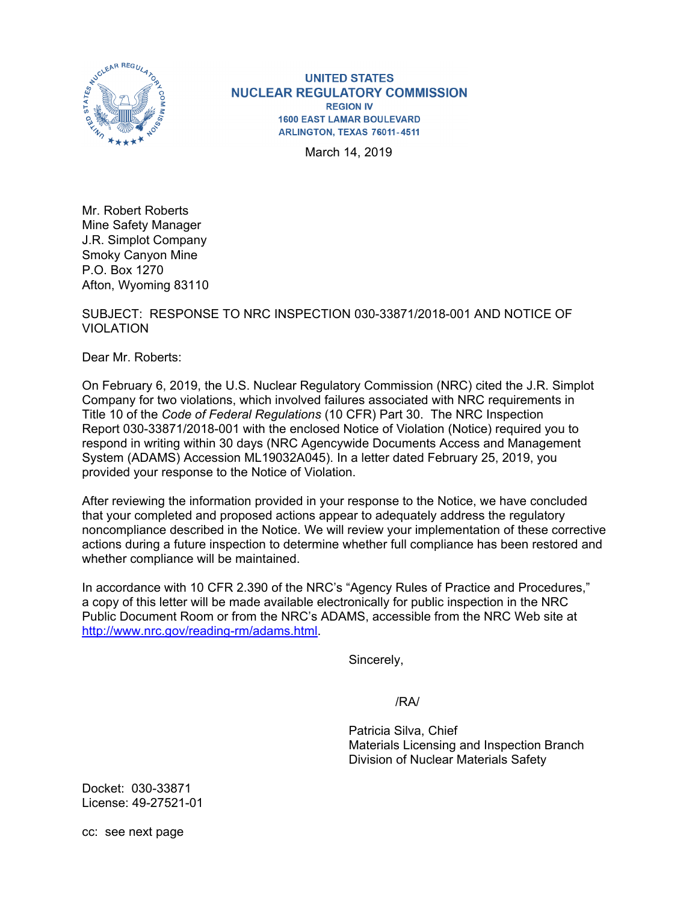

**UNITED STATES NUCLEAR REGULATORY COMMISSION REGION IV 1600 EAST LAMAR BOULEVARD** ARLINGTON, TEXAS 76011-4511

March 14, 2019

Mr. Robert Roberts Mine Safety Manager J.R. Simplot Company Smoky Canyon Mine P.O. Box 1270 Afton, Wyoming 83110

## SUBJECT: RESPONSE TO NRC INSPECTION 030-33871/2018-001 AND NOTICE OF VIOLATION

Dear Mr. Roberts:

On February 6, 2019, the U.S. Nuclear Regulatory Commission (NRC) cited the J.R. Simplot Company for two violations, which involved failures associated with NRC requirements in Title 10 of the *Code of Federal Regulations* (10 CFR) Part 30. The NRC Inspection Report 030-33871/2018-001 with the enclosed Notice of Violation (Notice) required you to respond in writing within 30 days (NRC Agencywide Documents Access and Management System (ADAMS) Accession ML19032A045). In a letter dated February 25, 2019, you provided your response to the Notice of Violation.

After reviewing the information provided in your response to the Notice, we have concluded that your completed and proposed actions appear to adequately address the regulatory noncompliance described in the Notice. We will review your implementation of these corrective actions during a future inspection to determine whether full compliance has been restored and whether compliance will be maintained.

In accordance with 10 CFR 2.390 of the NRC's "Agency Rules of Practice and Procedures," a copy of this letter will be made available electronically for public inspection in the NRC Public Document Room or from the NRC's ADAMS, accessible from the NRC Web site at http://www.nrc.gov/reading-rm/adams.html.

Sincerely,

/RA/

 Patricia Silva, Chief Materials Licensing and Inspection Branch Division of Nuclear Materials Safety

Docket: 030-33871 License: 49-27521-01

cc: see next page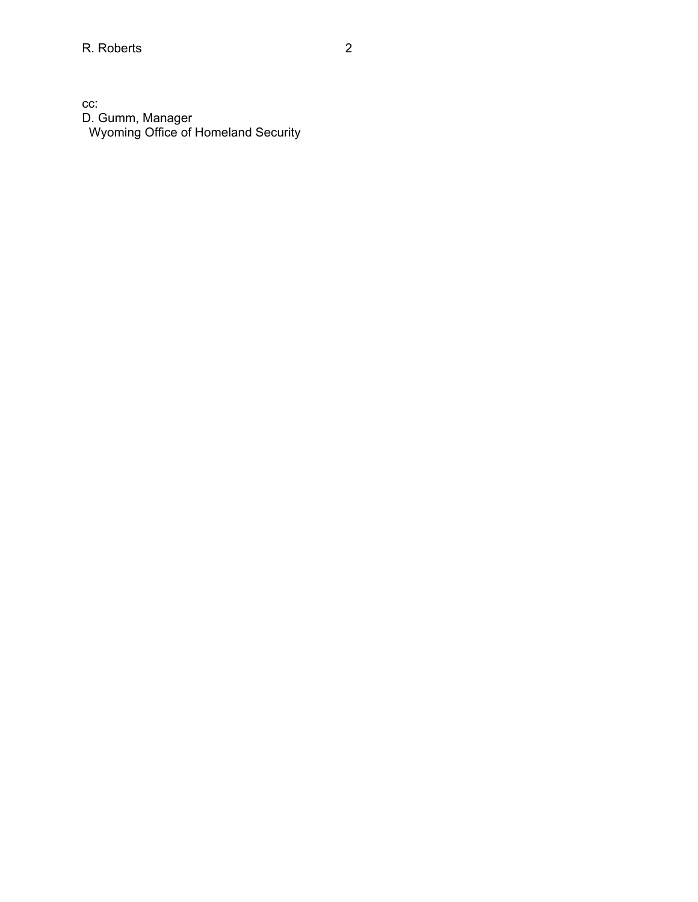cc: D. Gumm, Manager Wyoming Office of Homeland Security